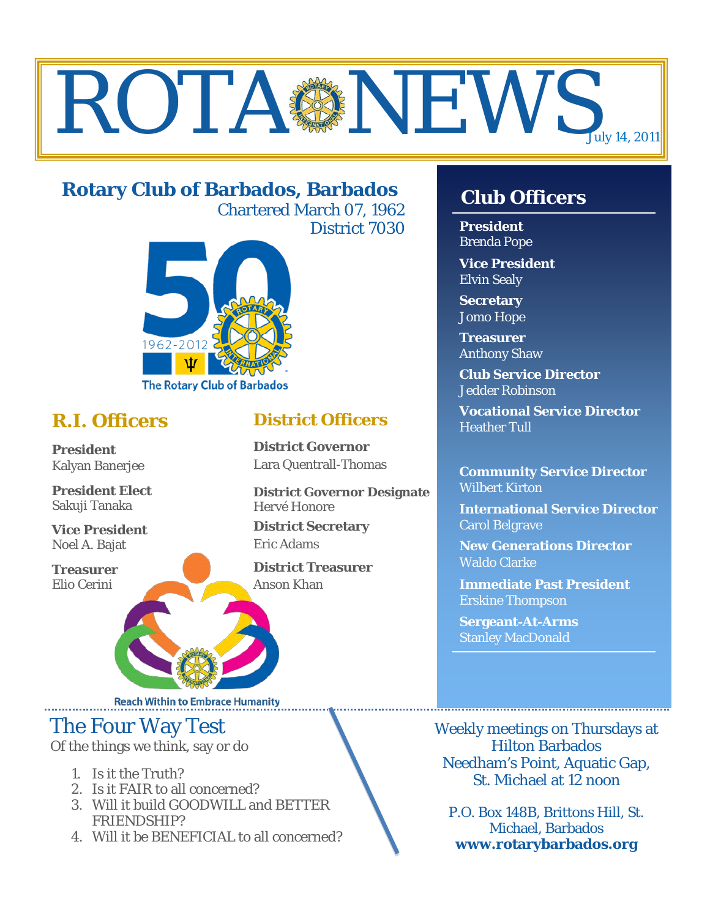# ROTA NEWS July 14, 2011

# **Rotary Club of Barbados, Barbados**

Chartered March 07, 1962 District 7030



# **R.I. Officers**

**President**  Kalyan Banerjee

**President Elect** Sakuji Tanaka

**Vice President** Noel A. Bajat

**Treasurer** Elio Cerini

# **District Officers**

**District Governor** Lara Quentrall-Thomas

**District Governor Designate** Hervé Honore

**District Secretary** Eric Adams

**District Treasurer** Anson Khan

# **Club Officers**

**President** Brenda Pope

**Vice President** Elvin Sealy

**Secretary** Jomo Hope

**Treasurer** Anthony Shaw

**Club Service Director** Jedder Robinson

**Vocational Service Director** Heather Tull

**Community Service Director** Wilbert Kirton

**International Service Director** Carol Belgrave

**New Generations Director** Waldo Clarke

**Immediate Past President** Erskine Thompson

**Sergeant-At-Arms** Stanley MacDonald

Weekly meetings on Thursdays at Hilton Barbados Needham's Point, Aquatic Gap, St. Michael at 12 noon

P.O. Box 148B, Brittons Hill, St. Michael, Barbados **www.rotarybarbados.org**

**Reach Within to Embrace Humanity** 

# The Four Way Test

Of the things we think, say or do

- 1. Is it the Truth?
- 2. Is it FAIR to all concerned?
- 3. Will it build GOODWILL and BETTER FRIENDSHIP?
- 4. Will it be BENEFICIAL to all concerned?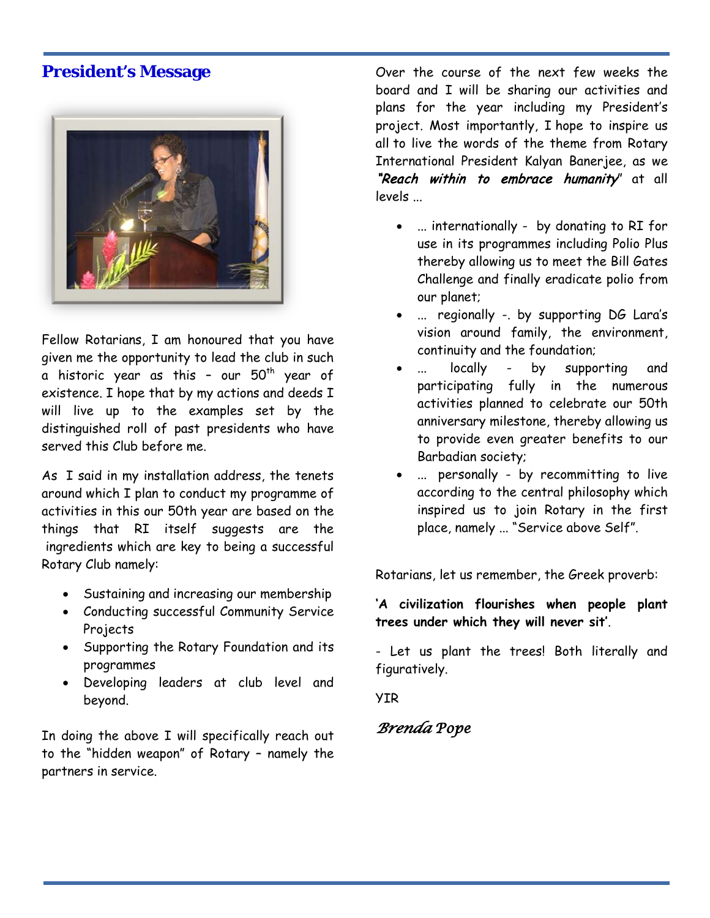### **President's Message**



Fellow Rotarians, I am honoured that you have given me the opportunity to lead the club in such a historic year as this - our  $50<sup>th</sup>$  year of existence. I hope that by my actions and deeds I will live up to the examples set by the distinguished roll of past presidents who have served this Club before me.

As I said in my installation address, the tenets around which I plan to conduct my programme of activities in this our 50th year are based on the things that RI itself suggests are the ingredients which are key to being a successful Rotary Club namely:

- Sustaining and increasing our membership
- Conducting successful Community Service Projects
- Supporting the Rotary Foundation and its programmes
- Developing leaders at club level and beyond.

In doing the above I will specifically reach out to the "hidden weapon" of Rotary – namely the partners in service.

Over the course of the next few weeks the board and I will be sharing our activities and plans for the year including my President's project. Most importantly, I hope to inspire us all to live the words of the theme from Rotary International President Kalyan Banerjee, as we "Reach within to embrace humanity" at all levels ...

- ... internationally by donating to RI for use in its programmes including Polio Plus thereby allowing us to meet the Bill Gates Challenge and finally eradicate polio from our planet;
- ... regionally -. by supporting DG Lara's vision around family, the environment, continuity and the foundation;
- ... locally by supporting and participating fully in the numerous activities planned to celebrate our 50th anniversary milestone, thereby allowing us to provide even greater benefits to our Barbadian society;
- ... personally by recommitting to live according to the central philosophy which inspired us to join Rotary in the first place, namely ... "Service above Self".

Rotarians, let us remember, the Greek proverb:

**'A civilization flourishes when people plant trees under which they will never sit'**.

- Let us plant the trees! Both literally and figuratively.

YIR

### *Brenda Pope*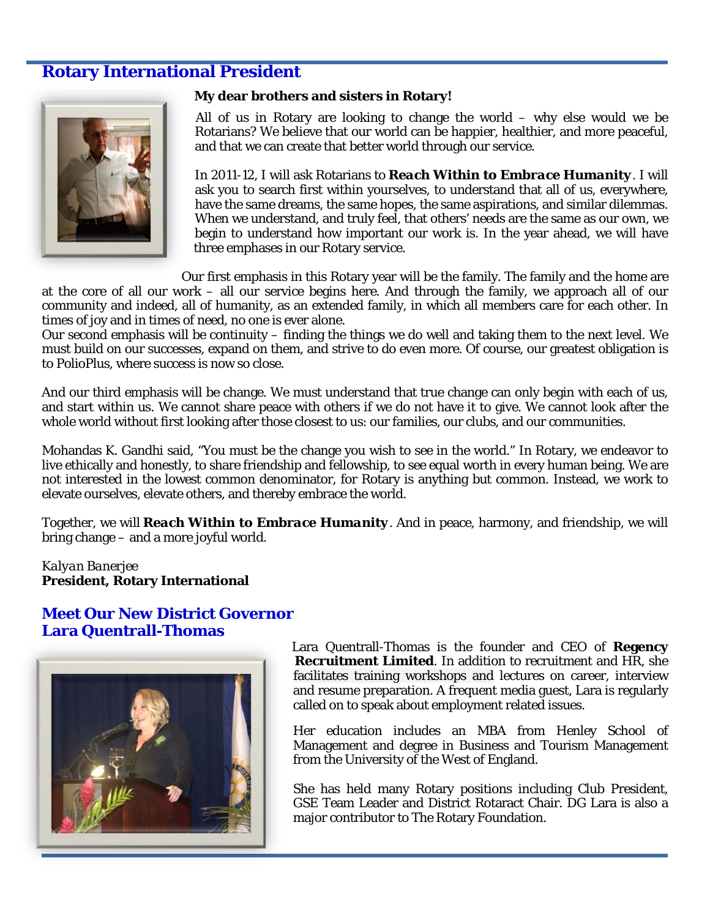### **Rotary International President**



#### **My dear brothers and sisters in Rotary!**

All of us in Rotary are looking to change the world – why else would we be Rotarians? We believe that our world can be happier, healthier, and more peaceful, and that we can create that better world through our service.

In 2011-12, I will ask Rotarians to *Reach Within to Embrace Humanity*. I will ask you to search first within yourselves, to understand that all of us, everywhere, have the same dreams, the same hopes, the same aspirations, and similar dilemmas. When we understand, and truly feel, that others' needs are the same as our own, we begin to understand how important our work is. In the year ahead, we will have three emphases in our Rotary service.

Our first emphasis in this Rotary year will be the family. The family and the home are

at the core of all our work – all our service begins here. And through the family, we approach all of our community and indeed, all of humanity, as an extended family, in which all members care for each other. In times of joy and in times of need, no one is ever alone.

Our second emphasis will be continuity – finding the things we do well and taking them to the next level. We must build on our successes, expand on them, and strive to do even more. Of course, our greatest obligation is to PolioPlus, where success is now so close.

And our third emphasis will be change. We must understand that true change can only begin with each of us, and start within us. We cannot share peace with others if we do not have it to give. We cannot look after the whole world without first looking after those closest to us: our families, our clubs, and our communities.

Mohandas K. Gandhi said, "You must be the change you wish to see in the world." In Rotary, we endeavor to live ethically and honestly, to share friendship and fellowship, to see equal worth in every human being. We are not interested in the lowest common denominator, for Rotary is anything but common. Instead, we work to elevate ourselves, elevate others, and thereby embrace the world.

Together, we will *Reach Within to Embrace Humanity*. And in peace, harmony, and friendship, we will bring change – and a more joyful world.

#### *Kalyan Banerjee* **President, Rotary International**

#### **Meet Our New District Governor Lara Quentrall-Thomas**



Lara Quentrall-Thomas is the founder and CEO of **Regency Recruitment Limited**. In addition to recruitment and HR, she facilitates training workshops and lectures on career, interview and resume preparation. A frequent media guest, Lara is regularly called on to speak about employment related issues.

Her education includes an MBA from Henley School of Management and degree in Business and Tourism Management from the University of the West of England.

She has held many Rotary positions including Club President, GSE Team Leader and District Rotaract Chair. DG Lara is also a major contributor to The Rotary Foundation.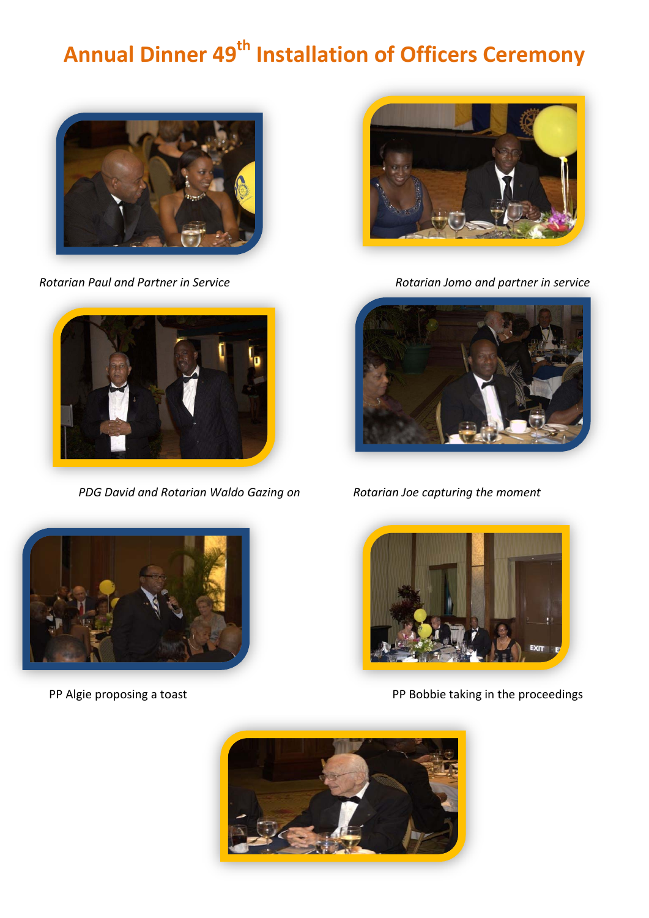# **Annual Dinner 49th Installation of Officers Ceremony**





*PDG David and Rotarian Waldo Gazing on Rotarian Joe capturing the moment*



*Rotarian Paul and Partner in Service Rotarian Jomo and partner in service*







PP Algie proposing a toast **PP Algie proposing a toast** PP Bobbie taking in the proceedings

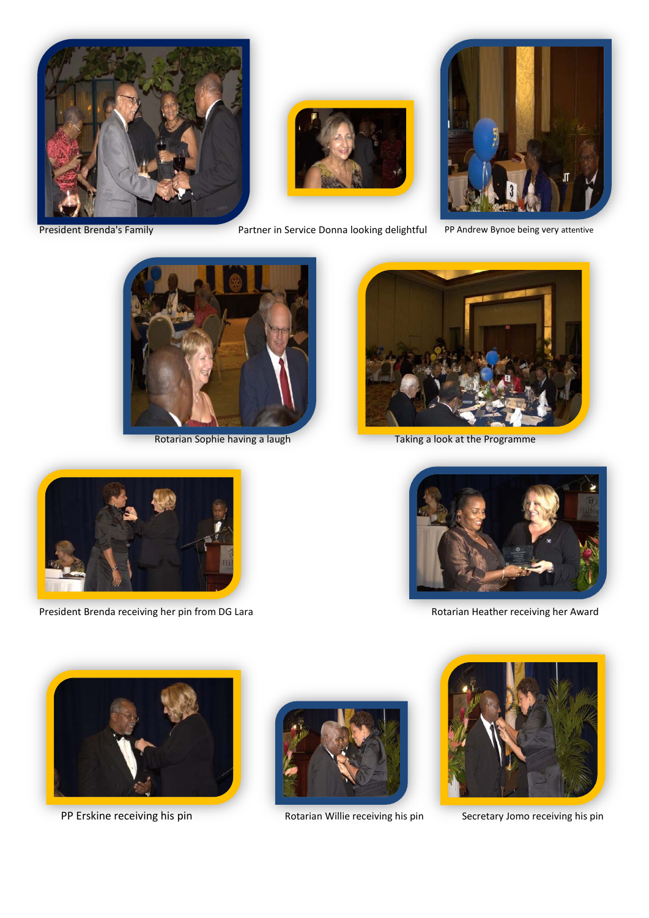





President Brenda's Family **Partner in Service Donna looking delightful** PP Andrew Bynoe being very attentive







Rotarian Sophie having a laugh Taking a look at the Programme



President Brenda receiving her pin from DG Lara Rotarian Heather receiving her Award





PP Erskine receiving his pin **Rotarian Willie receiving his pin** Secretary Jomo receiving his pin



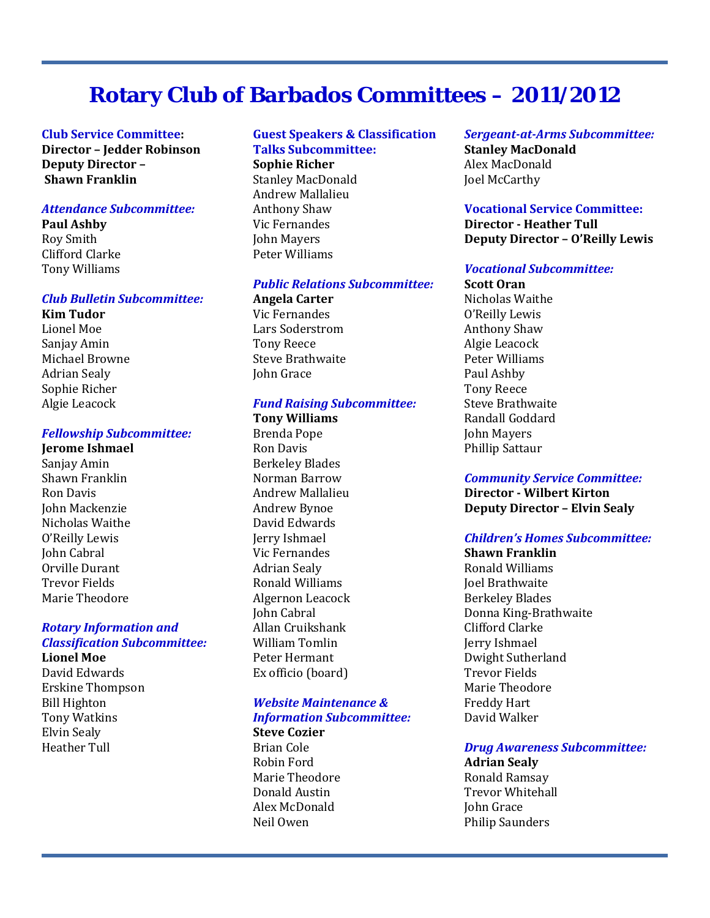# **Rotary Club of Barbados Committees – 2011/2012**

#### **Club Service Committee: Director – Jedder Robinson Deputy Director – Shawn Franklin**

#### *Attendance Subcommittee:*

**Paul Ashby** Roy Smith Clifford Clarke

Tony Williams

#### *Club Bulletin Subcommittee:*

**Kim Tudor** Lionel Moe Sanjay Amin Michael Browne Adrian Sealy Sophie Richer Algie Leacock

#### *Fellowship Subcommittee:*

**Jerome Ishmael** Sanjay Amin Shawn Franklin Ron Davis John Mackenzie Nicholas Waithe O'Reilly Lewis John Cabral Orville Durant Trevor Fields Marie Theodore

#### *Rotary Information and Classification Subcommittee:*

**Lionel Moe**  David Edwards Erskine Thompson Bill Highton Tony Watkins Elvin Sealy Heather Tull

#### **Guest Speakers & Classification Talks Subcommittee:**

**Sophie Richer** Stanley MacDonald Andrew Mallalieu Anthony Shaw Vic Fernandes John Mayers Peter Williams

#### *Public Relations Subcommittee:*

**Angela Carter** Vic Fernandes Lars Soderstrom Tony Reece Steve Brathwaite John Grace

#### *Fund Raising Subcommittee:*

**Tony Williams**  Brenda Pope Ron Davis Berkeley Blades Norman Barrow Andrew Mallalieu Andrew Bynoe David Edwards Jerry Ishmael Vic Fernandes Adrian Sealy Ronald Williams Algernon Leacock John Cabral Allan Cruikshank William Tomlin Peter Hermant Ex officio (board)

#### *Website Maintenance & Information Subcommittee:*

**Steve Cozier** Brian Cole Robin Ford Marie Theodore Donald Austin Alex McDonald Neil Owen

*Sergeant-at-Arms Subcommittee:* **Stanley MacDonald** Alex MacDonald Joel McCarthy

#### **Vocational Service Committee: Director - Heather Tull Deputy Director – O'Reilly Lewis**

#### *Vocational Subcommittee:*

**Scott Oran** Nicholas Waithe O'Reilly Lewis Anthony Shaw Algie Leacock Peter Williams Paul Ashby Tony Reece Steve Brathwaite Randall Goddard John Mayers Phillip Sattaur

#### *Community Service Committee:*

**Director - Wilbert Kirton Deputy Director – Elvin Sealy**

#### *Children's Homes Subcommittee:*

**Shawn Franklin** Ronald Williams Joel Brathwaite Berkeley Blades Donna King-Brathwaite Clifford Clarke Jerry Ishmael Dwight Sutherland Trevor Fields Marie Theodore Freddy Hart David Walker

#### *Drug Awareness Subcommittee:*

**Adrian Sealy** Ronald Ramsay Trevor Whitehall John Grace Philip Saunders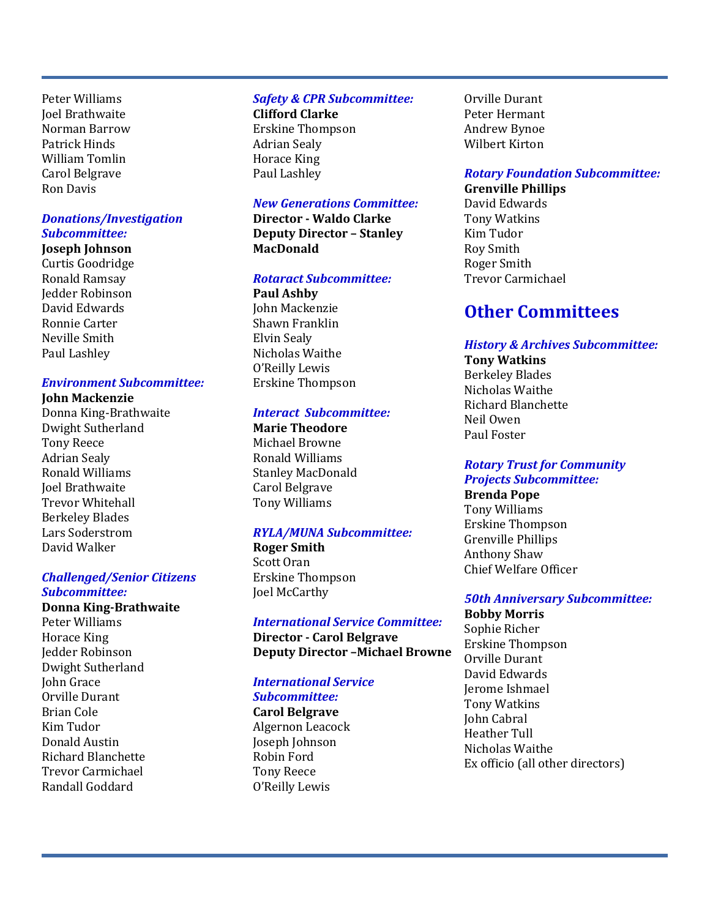Peter Williams Joel Brathwaite Norman Barrow Patrick Hinds William Tomlin Carol Belgrave Ron Davis

#### *Donations/Investigation Subcommittee:*

**Joseph Johnson**  Curtis Goodridge Ronald Ramsay Jedder Robinson David Edwards Ronnie Carter Neville Smith Paul Lashley

#### *Environment Subcommittee:*

#### **John Mackenzie**

Donna King-Brathwaite Dwight Sutherland Tony Reece Adrian Sealy Ronald Williams Joel Brathwaite Trevor Whitehall Berkeley Blades Lars Soderstrom David Walker

#### *Challenged/Senior Citizens Subcommittee:*

**Donna King-Brathwaite** Peter Williams Horace King Jedder Robinson Dwight Sutherland John Grace Orville Durant Brian Cole Kim Tudor Donald Austin Richard Blanchette Trevor Carmichael Randall Goddard

#### *Safety & CPR Subcommittee:*

**Clifford Clarke**  Erskine Thompson Adrian Sealy Horace King Paul Lashley

#### *New Generations Committee:*

**Director - Waldo Clarke Deputy Director – Stanley MacDonald**

#### *Rotaract Subcommittee:*

**Paul Ashby** John Mackenzie Shawn Franklin Elvin Sealy Nicholas Waithe O'Reilly Lewis Erskine Thompson

#### *Interact Subcommittee:*

**Marie Theodore**  Michael Browne Ronald Williams Stanley MacDonald Carol Belgrave Tony Williams

#### *RYLA/MUNA Subcommittee:*

**Roger Smith** Scott Oran Erskine Thompson Joel McCarthy

#### *International Service Committee:*

**Deputy Director –Michael Browne**

**Director - Carol Belgrave**

### *International Service*

*Subcommittee:* **Carol Belgrave** Algernon Leacock Joseph Johnson Robin Ford Tony Reece O'Reilly Lewis

Orville Durant Peter Hermant Andrew Bynoe Wilbert Kirton

#### *Rotary Foundation Subcommittee:*

**Grenville Phillips** David Edwards Tony Watkins Kim Tudor Roy Smith Roger Smith

Trevor Carmichael

# **Other Committees**

#### *History & Archives Subcommittee:*

**Tony Watkins**  Berkeley Blades Nicholas Waithe Richard Blanchette Neil Owen Paul Foster

#### *Rotary Trust for Community Projects Subcommittee:*

**Brenda Pope**  Tony Williams Erskine Thompson Grenville Phillips Anthony Shaw Chief Welfare Officer

#### *50th Anniversary Subcommittee:*

**Bobby Morris**  Sophie Richer Erskine Thompson Orville Durant David Edwards Jerome Ishmael Tony Watkins John Cabral Heather Tull Nicholas Waithe Ex officio (all other directors)